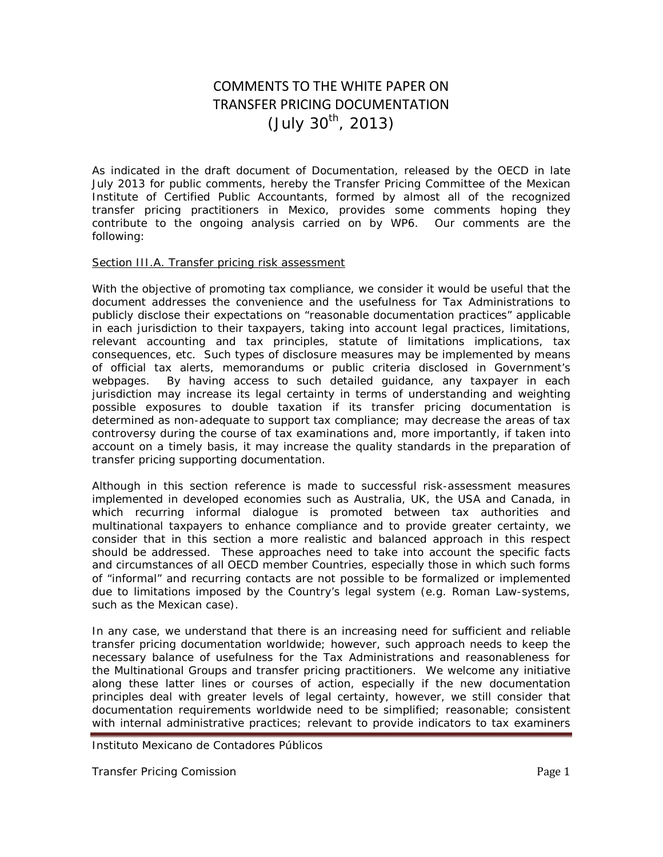# COMMENTS TO THE WHITE PAPER ON TRANSFER PRICING DOCUMENTATION  $($  July 30<sup>th</sup>, 2013)

As indicated in the draft document of Documentation, released by the OECD in late July 2013 for public comments, hereby the Transfer Pricing Committee of the Mexican Institute of Certified Public Accountants, formed by almost all of the recognized transfer pricing practitioners in Mexico, provides some comments hoping they contribute to the ongoing analysis carried on by WP6. Our comments are the following:

#### Section III.A. Transfer pricing risk assessment

With the objective of promoting tax compliance, we consider it would be useful that the document addresses the convenience and the usefulness for Tax Administrations to publicly disclose their expectations on "reasonable documentation practices" applicable in each jurisdiction to their taxpayers, taking into account legal practices, limitations, relevant accounting and tax principles, statute of limitations implications, tax consequences, etc. Such types of disclosure measures may be implemented by means of official tax alerts, memorandums or public criteria disclosed in Government's webpages. By having access to such detailed guidance, any taxpayer in each jurisdiction may increase its legal certainty in terms of understanding and weighting possible exposures to double taxation if its transfer pricing documentation is determined as non-adequate to support tax compliance; may decrease the areas of tax controversy during the course of tax examinations and, more importantly, if taken into account on a timely basis, it may increase the quality standards in the preparation of transfer pricing supporting documentation.

Although in this section reference is made to successful risk-assessment measures implemented in developed economies such as Australia, UK, the USA and Canada, in which recurring informal dialogue is promoted between tax authorities and multinational taxpayers to enhance compliance and to provide greater certainty, we consider that in this section a more realistic and balanced approach in this respect should be addressed. These approaches need to take into account the specific facts and circumstances of all OECD member Countries, especially those in which such forms of "informal" and recurring contacts are not possible to be formalized or implemented due to limitations imposed by the Country's legal system (e.g. Roman Law-systems, such as the Mexican case).

In any case, we understand that there is an increasing need for sufficient and reliable transfer pricing documentation worldwide; however, such approach needs to keep the necessary balance of usefulness for the Tax Administrations and reasonableness for the Multinational Groups and transfer pricing practitioners. We welcome any initiative along these latter lines or courses of action, especially if the new documentation principles deal with greater levels of legal certainty, however, we still consider that documentation requirements worldwide need to be simplified; reasonable; consistent with internal administrative practices; relevant to provide indicators to tax examiners

Instituto Mexicano de Contadores Públicos

Transfer Pricing Comission **Page 1 Page 1 Page 1**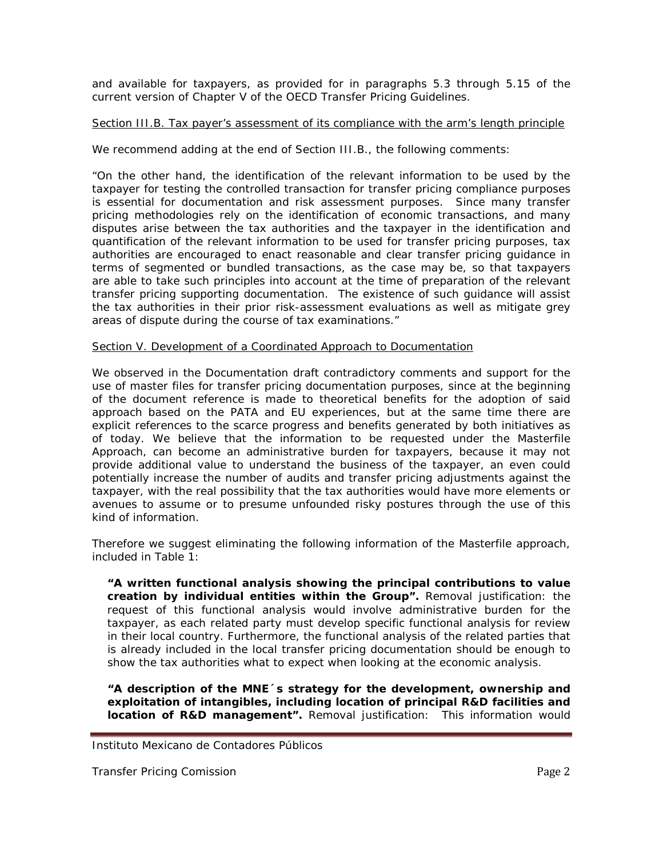and available for taxpayers, as provided for in paragraphs 5.3 through 5.15 of the current version of Chapter V of the OECD Transfer Pricing Guidelines.

### Section III.B. Tax payer's assessment of its compliance with the arm's length principle

We recommend adding at the end of Section III.B., the following comments:

*"On the other hand, the identification of the relevant information to be used by the taxpayer for testing the controlled transaction for transfer pricing compliance purposes is essential for documentation and risk assessment purposes. Since many transfer pricing methodologies rely on the identification of economic transactions, and many disputes arise between the tax authorities and the taxpayer in the identification and quantification of the relevant information to be used for transfer pricing purposes, tax authorities are encouraged to enact reasonable and clear transfer pricing guidance in terms of segmented or bundled transactions, as the case may be, so that taxpayers are able to take such principles into account at the time of preparation of the relevant transfer pricing supporting documentation. The existence of such guidance will assist the tax authorities in their prior risk-assessment evaluations as well as mitigate grey areas of dispute during the course of tax examinations."*

#### Section V. Development of a Coordinated Approach to Documentation

We observed in the Documentation draft contradictory comments and support for the use of master files for transfer pricing documentation purposes, since at the beginning of the document reference is made to theoretical benefits for the adoption of said approach based on the PATA and EU experiences, but at the same time there are explicit references to the scarce progress and benefits generated by both initiatives as of today. We believe that the information to be requested under the Masterfile Approach, can become an administrative burden for taxpayers, because it may not provide additional value to understand the business of the taxpayer, an even could potentially increase the number of audits and transfer pricing adjustments against the taxpayer, with the real possibility that the tax authorities would have more elements or avenues to assume or to presume unfounded risky postures through the use of this kind of information.

Therefore we suggest eliminating the following information of the Masterfile approach, included in Table 1:

*"A written functional analysis showing the principal contributions to value creation by individual entities within the Group".* Removal justification: the request of this functional analysis would involve administrative burden for the taxpayer, as each related party must develop specific functional analysis for review in their local country. Furthermore, the functional analysis of the related parties that is already included in the local transfer pricing documentation should be enough to show the tax authorities what to expect when looking at the economic analysis.

*"A description of the MNE´s strategy for the development, ownership and exploitation of intangibles, including location of principal R&D facilities and location of R&D management".* Removal justification: This information would

Instituto Mexicano de Contadores Públicos

Transfer Pricing Comission **Page 2** and the page 2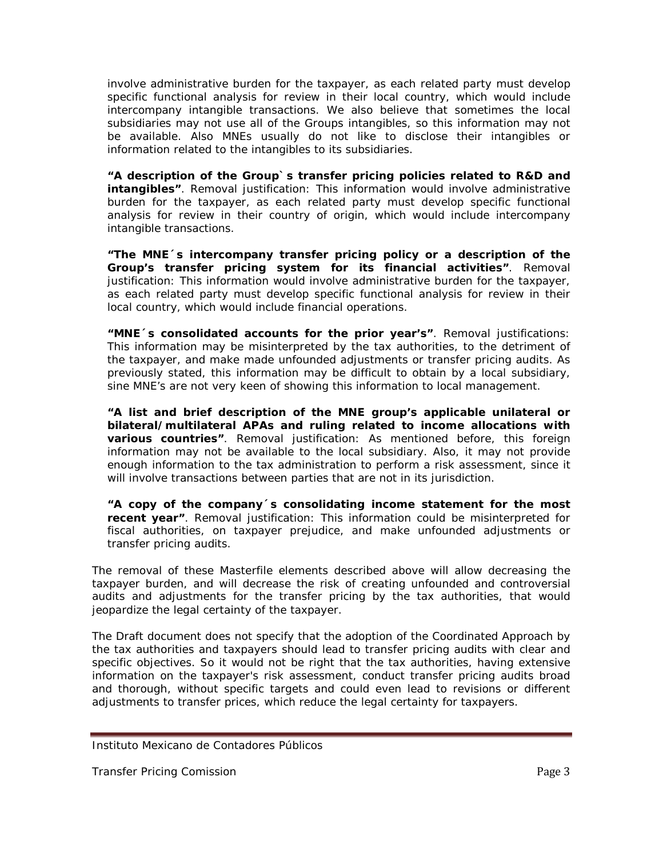involve administrative burden for the taxpayer, as each related party must develop specific functional analysis for review in their local country, which would include intercompany intangible transactions. We also believe that sometimes the local subsidiaries may not use all of the Groups intangibles, so this information may not be available. Also MNEs usually do not like to disclose their intangibles or information related to the intangibles to its subsidiaries.

*"A description of the Group`s transfer pricing policies related to R&D and intangibles".* Removal justification: This information would involve administrative burden for the taxpayer, as each related party must develop specific functional analysis for review in their country of origin, which would include intercompany intangible transactions.

*"The MNE´s intercompany transfer pricing policy or a description of the Group's transfer pricing system for its financial activities".* Removal justification: This information would involve administrative burden for the taxpayer, as each related party must develop specific functional analysis for review in their local country, which would include financial operations.

*"MNE´s consolidated accounts for the prior year's".* Removal justifications: This information may be misinterpreted by the tax authorities, to the detriment of the taxpayer, and make made unfounded adjustments or transfer pricing audits. As previously stated, this information may be difficult to obtain by a local subsidiary, sine MNE's are not very keen of showing this information to local management.

*"A list and brief description of the MNE group's applicable unilateral or bilateral/multilateral APAs and ruling related to income allocations with various countries"*. Removal justification: As mentioned before, this foreign information may not be available to the local subsidiary. Also, it may not provide enough information to the tax administration to perform a risk assessment, since it will involve transactions between parties that are not in its jurisdiction.

*"A copy of the company´s consolidating income statement for the most recent year"*. Removal justification: This information could be misinterpreted for fiscal authorities, on taxpayer prejudice, and make unfounded adjustments or transfer pricing audits.

The removal of these Masterfile elements described above will allow decreasing the taxpayer burden, and will decrease the risk of creating unfounded and controversial audits and adjustments for the transfer pricing by the tax authorities, that would jeopardize the legal certainty of the taxpayer.

The Draft document does not specify that the adoption of the Coordinated Approach by the tax authorities and taxpayers should lead to transfer pricing audits with clear and specific objectives. So it would not be right that the tax authorities, having extensive information on the taxpayer's risk assessment, conduct transfer pricing audits broad and thorough, without specific targets and could even lead to revisions or different adjustments to transfer prices, which reduce the legal certainty for taxpayers.

Instituto Mexicano de Contadores Públicos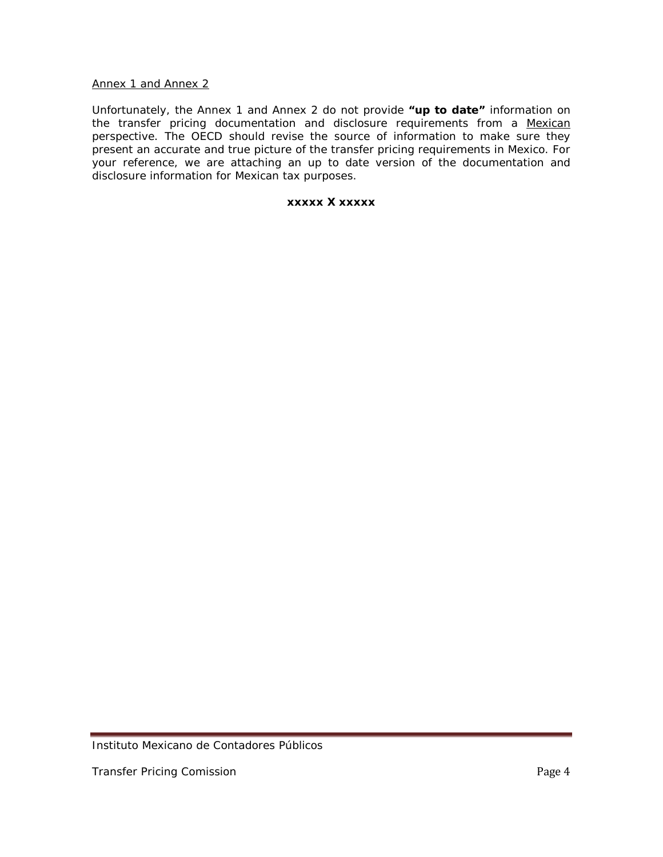#### Annex 1 and Annex 2

Unfortunately, the Annex 1 and Annex 2 do not provide **"up to date"** information on the transfer pricing documentation and disclosure requirements from a Mexican perspective. The OECD should revise the source of information to make sure they present an accurate and true picture of the transfer pricing requirements in Mexico. For your reference, we are attaching an up to date version of the documentation and disclosure information for Mexican tax purposes.

#### **xxxxx X xxxxx**

Instituto Mexicano de Contadores Públicos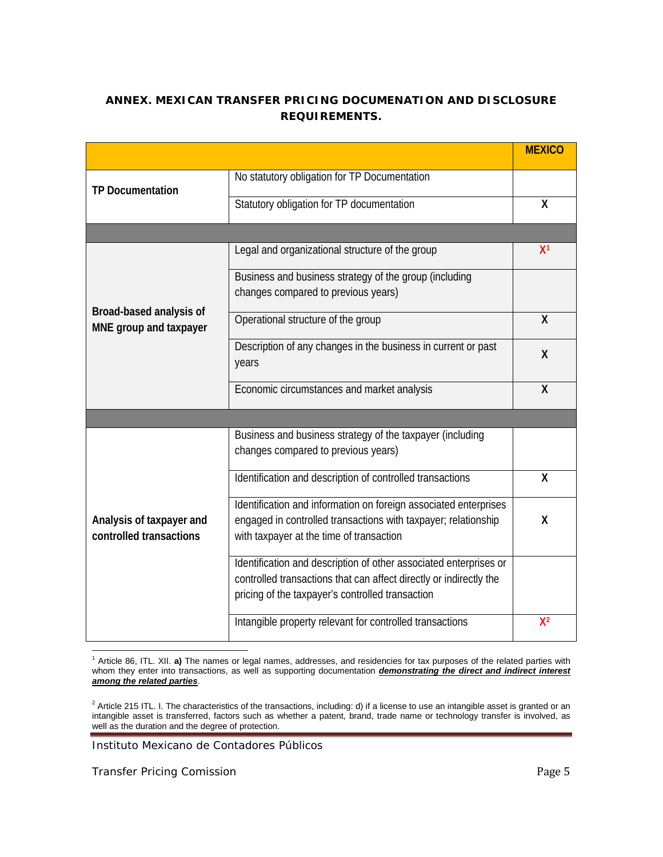## **ANNEX. MEXICAN TRANSFER PRICING DOCUMENATION AND DISCLOSURE REQUIREMENTS.**

|                                                     |                                                                                                                                                                                             | <b>MEXICO</b>  |
|-----------------------------------------------------|---------------------------------------------------------------------------------------------------------------------------------------------------------------------------------------------|----------------|
| <b>TP Documentation</b>                             | No statutory obligation for TP Documentation                                                                                                                                                |                |
|                                                     | Statutory obligation for TP documentation                                                                                                                                                   | X              |
|                                                     |                                                                                                                                                                                             |                |
| Broad-based analysis of<br>MNE group and taxpayer   | Legal and organizational structure of the group                                                                                                                                             | X <sup>1</sup> |
|                                                     | Business and business strategy of the group (including<br>changes compared to previous years)                                                                                               |                |
|                                                     | Operational structure of the group                                                                                                                                                          | X              |
|                                                     | Description of any changes in the business in current or past<br>years                                                                                                                      | Χ              |
|                                                     | Economic circumstances and market analysis                                                                                                                                                  | X              |
|                                                     |                                                                                                                                                                                             |                |
| Analysis of taxpayer and<br>controlled transactions | Business and business strategy of the taxpayer (including<br>changes compared to previous years)                                                                                            |                |
|                                                     | Identification and description of controlled transactions                                                                                                                                   | X              |
|                                                     | Identification and information on foreign associated enterprises<br>engaged in controlled transactions with taxpayer; relationship<br>with taxpayer at the time of transaction              | Χ              |
|                                                     | Identification and description of other associated enterprises or<br>controlled transactions that can affect directly or indirectly the<br>pricing of the taxpayer's controlled transaction |                |
|                                                     | Intangible property relevant for controlled transactions                                                                                                                                    | $X^2$          |

<span id="page-4-0"></span> <sup>1</sup> Article 86, ITL. XII. **a)** The names or legal names, addresses, and residencies for tax purposes of the related parties with whom they enter into transactions, as well as supporting documentation *demonstrating the direct and indirect interest among the related parties*.

<span id="page-4-1"></span> $^2$  Article 215 ITL. I. The characteristics of the transactions, including: d) if a license to use an intangible asset is granted or an intangible asset is transferred, factors such as whether a patent, brand, trade name or technology transfer is involved, as well as the duration and the degree of protection.

Instituto Mexicano de Contadores Públicos

Transfer Pricing Comission **Page 5** and 2008 and 2011 and 2012 and 2013 and 2013 and 2014 and 2013 and 2014 and 2013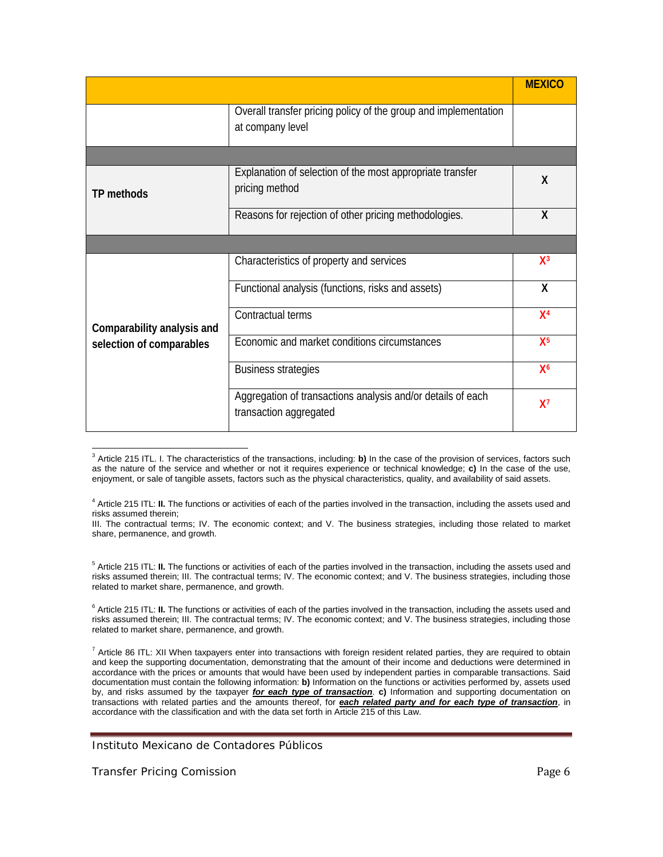|                                                        |                                                                                       | <b>MEXICO</b>  |
|--------------------------------------------------------|---------------------------------------------------------------------------------------|----------------|
|                                                        | Overall transfer pricing policy of the group and implementation<br>at company level   |                |
|                                                        |                                                                                       |                |
| TP methods                                             | Explanation of selection of the most appropriate transfer<br>pricing method           | X              |
|                                                        | Reasons for rejection of other pricing methodologies.                                 | X              |
|                                                        |                                                                                       |                |
| Comparability analysis and<br>selection of comparables | Characteristics of property and services                                              | $X^3$          |
|                                                        | Functional analysis (functions, risks and assets)                                     | X              |
|                                                        | Contractual terms                                                                     | X <sup>4</sup> |
|                                                        | Economic and market conditions circumstances                                          | $X^5$          |
|                                                        | <b>Business strategies</b>                                                            | X <sup>6</sup> |
|                                                        | Aggregation of transactions analysis and/or details of each<br>transaction aggregated | $X^7$          |

<span id="page-5-0"></span> <sup>3</sup> Article 215 ITL. I. The characteristics of the transactions, including: **b)** In the case of the provision of services, factors such as the nature of the service and whether or not it requires experience or technical knowledge; **c)** In the case of the use, enjoyment, or sale of tangible assets, factors such as the physical characteristics, quality, and availability of said assets.

<span id="page-5-1"></span><sup>4</sup> Article 215 ITL: **II.** The functions or activities of each of the parties involved in the transaction, including the assets used and risks assumed therein;

III. The contractual terms; IV. The economic context; and V. The business strategies, including those related to market share, permanence, and growth.

<span id="page-5-2"></span><sup>5</sup> Article 215 ITL: **II.** The functions or activities of each of the parties involved in the transaction, including the assets used and risks assumed therein; III. The contractual terms; IV. The economic context; and V. The business strategies, including those related to market share, permanence, and growth.

<span id="page-5-3"></span><sup>6</sup> Article 215 ITL: II. The functions or activities of each of the parties involved in the transaction, including the assets used and risks assumed therein; III. The contractual terms; IV. The economic context; and V. The business strategies, including those related to market share, permanence, and growth.

<span id="page-5-4"></span> $^7$  Article 86 ITL: XII When taxpayers enter into transactions with foreign resident related parties, they are required to obtain and keep the supporting documentation, demonstrating that the amount of their income and deductions were determined in accordance with the prices or amounts that would have been used by independent parties in comparable transactions. Said documentation must contain the following information: **b)** Information on the functions or activities performed by, assets used by, and risks assumed by the taxpayer *for each type of transaction*. **c)** Information and supporting documentation on transactions with related parties and the amounts thereof, for *each related party and for each type of transaction*, in accordance with the classification and with the data set forth in Article [215](http://pg.dofiscal.com/nxt/gateway.dll/fmtl/prodvista96_2013/l_fed_le_2002_327/l_fed_le_2002_327-t2/l_fed_le_2002_327-t2_c8/l_fed_le_2002_327-a86oo?f=templates$fn=document-frame.htm$3.0) of this Law.

Instituto Mexicano de Contadores Públicos

Transfer Pricing Comission **Page 6** and the *Page 6* and *Page 6* and *Page 6* and *Page 6* and *Page 6* and *Page 6*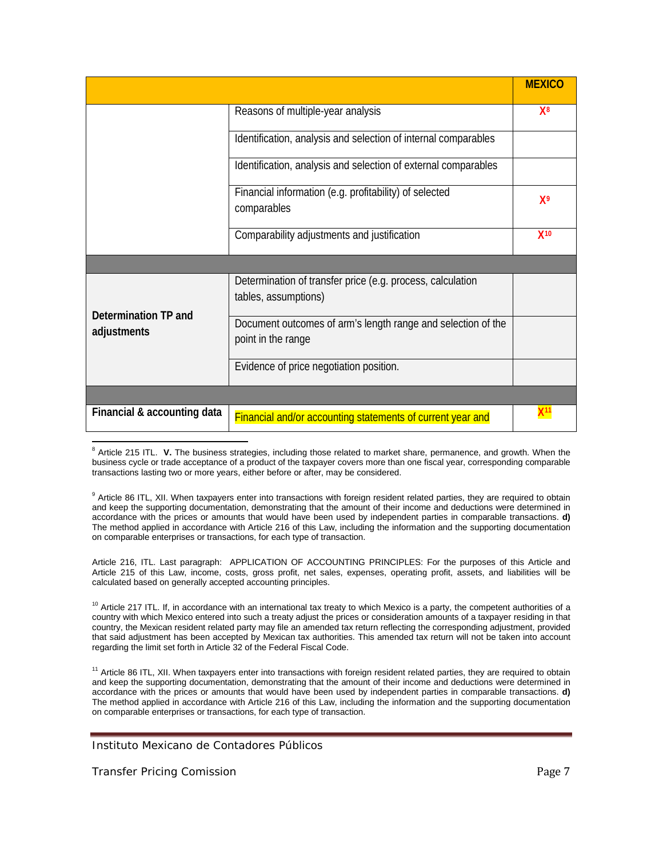|                                     |                                                                                    | <b>MEXICO</b>  |
|-------------------------------------|------------------------------------------------------------------------------------|----------------|
|                                     | Reasons of multiple-year analysis                                                  | X <sup>8</sup> |
|                                     | Identification, analysis and selection of internal comparables                     |                |
|                                     | Identification, analysis and selection of external comparables                     |                |
|                                     | Financial information (e.g. profitability) of selected<br>comparables              | $X^9$          |
|                                     | Comparability adjustments and justification                                        | $X^{10}$       |
|                                     |                                                                                    |                |
| Determination TP and<br>adjustments | Determination of transfer price (e.g. process, calculation<br>tables, assumptions) |                |
|                                     | Document outcomes of arm's length range and selection of the<br>point in the range |                |
|                                     | Evidence of price negotiation position.                                            |                |
|                                     |                                                                                    |                |
| Financial & accounting data         | Financial and/or accounting statements of current year and                         | X11            |

<span id="page-6-0"></span><sup>8</sup> Article 215 ITL. V. The business strategies, including those related to market share, permanence, and growth. When the business cycle or trade acceptance of a product of the taxpayer covers more than one fiscal year, corresponding comparable transactions lasting two or more years, either before or after, may be considered.

<span id="page-6-1"></span><sup>9</sup> Article 86 ITL, XII. When taxpayers enter into transactions with foreign resident related parties, they are required to obtain and keep the supporting documentation, demonstrating that the amount of their income and deductions were determined in accordance with the prices or amounts that would have been used by independent parties in comparable transactions. **d)** The method applied in accordance with Article [216](http://pg.dofiscal.com/nxt/gateway.dll/fmtl/prodvista96_2013/l_fed_le_2002_327/l_fed_le_2002_327-t2/l_fed_le_2002_327-t2_c8/l_fed_le_2002_327-a86oo?f=templates$fn=document-frame.htm$3.0) of this Law, including the information and the supporting documentation on comparable enterprises or transactions, for each type of transaction.

Article 216, ITL. Last paragraph: APPLICATION OF ACCOUNTING PRINCIPLES: For the purposes of this Article and Article [215](http://pg.dofiscal.com/nxt/gateway.dll/fmtl/prodvista96_2013/l_fed_le_2002_327/l_fed_le_2002_327-t6/l_fed_le_2002_327-t6_c2/l_fed_le_2002_327-a216mfc?f=templates$fn=document-frame.htm$3.0) of this Law, income, costs, gross profit, net sales, expenses, operating profit, assets, and liabilities will be calculated based on generally accepted accounting principles.

<span id="page-6-2"></span><sup>10</sup> Article 217 ITL. If, in accordance with an international tax treaty to which Mexico is a party, the competent authorities of a country with which Mexico entered into such a treaty adjust the prices or consideration amounts of a taxpayer residing in that country, the Mexican resident related party may file an amended tax return reflecting the corresponding adjustment, provided that said adjustment has been accepted by Mexican tax authorities. This amended tax return will not be taken into account regarding the limit set forth in Article [32](http://pg.dofiscal.com/nxt/gateway.dll/fmtl/prodvista96_2013/l_fed_le_2002_327/l_fed_le_2002_327-t6/l_fed_le_2002_327-t6_c2/l_fed_le_2002_327-a217pab?f=templates$fn=document-frame.htm$3.0) of the Federal Fiscal Code.

<span id="page-6-3"></span><sup>11</sup> Article 86 ITL, XII. When taxpayers enter into transactions with foreign resident related parties, they are required to obtain and keep the supporting documentation, demonstrating that the amount of their income and deductions were determined in accordance with the prices or amounts that would have been used by independent parties in comparable transactions. **d)** The method applied in accordance with Article [216](http://pg.dofiscal.com/nxt/gateway.dll/fmtl/prodvista96_2013/l_fed_le_2002_327/l_fed_le_2002_327-t2/l_fed_le_2002_327-t2_c8/l_fed_le_2002_327-a86oo?f=templates$fn=document-frame.htm$3.0) of this Law, including the information and the supporting documentation on comparable enterprises or transactions, for each type of transaction.

Instituto Mexicano de Contadores Públicos

Transfer Pricing Comission **Page 7** and the page 7 and the page 7 and the page 7 and the page 7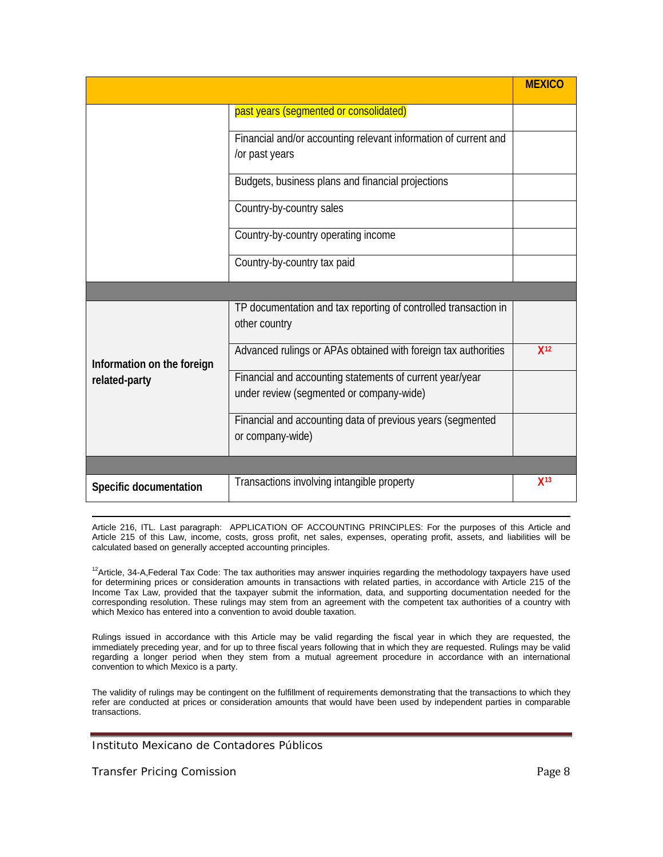|                                             |                                                                                                      | <b>MEXICO</b>   |
|---------------------------------------------|------------------------------------------------------------------------------------------------------|-----------------|
|                                             | past years (segmented or consolidated)                                                               |                 |
|                                             | Financial and/or accounting relevant information of current and<br>/or past years                    |                 |
|                                             | Budgets, business plans and financial projections                                                    |                 |
|                                             | Country-by-country sales                                                                             |                 |
|                                             | Country-by-country operating income                                                                  |                 |
|                                             | Country-by-country tax paid                                                                          |                 |
|                                             |                                                                                                      |                 |
| Information on the foreign<br>related-party | TP documentation and tax reporting of controlled transaction in<br>other country                     |                 |
|                                             | Advanced rulings or APAs obtained with foreign tax authorities                                       | X <sup>12</sup> |
|                                             | Financial and accounting statements of current year/year<br>under review (segmented or company-wide) |                 |
|                                             | Financial and accounting data of previous years (segmented<br>or company-wide)                       |                 |
|                                             |                                                                                                      |                 |
| Specific documentation                      | Transactions involving intangible property                                                           | $X^{13}$        |

<span id="page-7-1"></span>**.** Article 216, ITL. Last paragraph: APPLICATION OF ACCOUNTING PRINCIPLES: For the purposes of this Article and Article [215](http://pg.dofiscal.com/nxt/gateway.dll/fmtl/prodvista96_2013/l_fed_le_2002_327/l_fed_le_2002_327-t6/l_fed_le_2002_327-t6_c2/l_fed_le_2002_327-a216mfc?f=templates$fn=document-frame.htm$3.0) of this Law, income, costs, gross profit, net sales, expenses, operating profit, assets, and liabilities will be calculated based on generally accepted accounting principles.

<span id="page-7-0"></span><sup>12</sup>Article, 34-A,Federal Tax Code: The tax authorities may answer inquiries regarding the methodology taxpayers have used for determining prices or consideration amounts in transactions with related parties, in accordance with Article [215](http://pg.dofiscal.com/nxt/gateway.dll/fmtl/prodvista96_2013/l_fed_le_1981_324/l_fed_le_1981_324-t3/l_fed_le_1981_324-t3_cone/l_fed_le_1981_324-a34aiom?f=templates$fn=document-frame.htm$3.0) of the Income Tax Law, provided that the taxpayer submit the information, data, and supporting documentation needed for the corresponding resolution. These rulings may stem from an agreement with the competent tax authorities of a country with which Mexico has entered into a convention to avoid double taxation.

Rulings issued in accordance with this Article may be valid regarding the fiscal year in which they are requested, the immediately preceding year, and for up to three fiscal years following that in which they are requested. Rulings may be valid regarding a longer period when they stem from a mutual agreement procedure in accordance with an international convention to which Mexico is a party.

The validity of rulings may be contingent on the fulfillment of requirements demonstrating that the transactions to which they refer are conducted at prices or consideration amounts that would have been used by independent parties in comparable transactions.

Instituto Mexicano de Contadores Públicos

Transfer Pricing Comission **Page 8** and the page 8 and the page 8 and the page 8 and the page 8 and the page 8 and the page 8 and the page 8 and the page 8 and the page 8 and the page 8 and the page 8 and the page 8 and th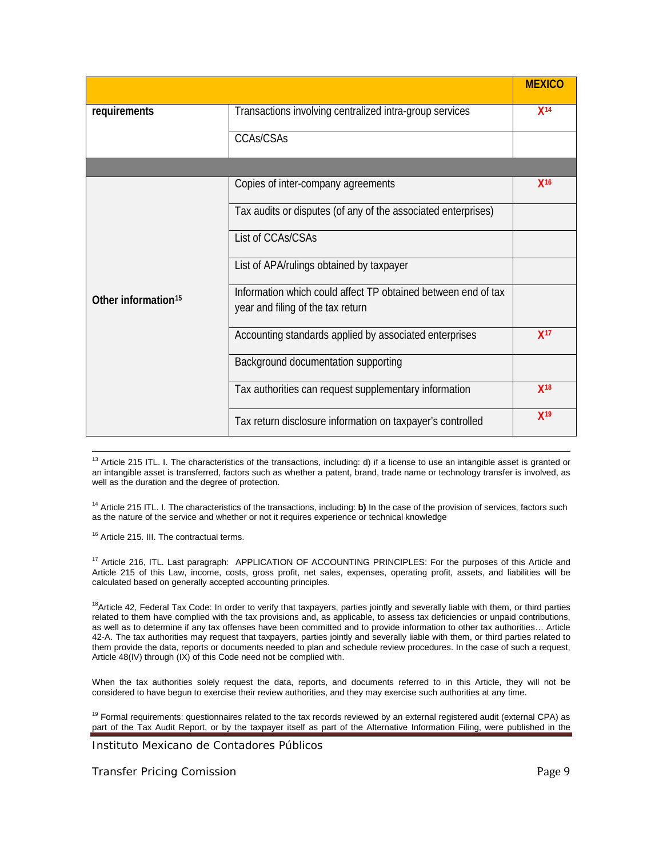|                                 |                                                               | <b>MEXICO</b>   |
|---------------------------------|---------------------------------------------------------------|-----------------|
| requirements                    | Transactions involving centralized intra-group services       | X <sup>14</sup> |
|                                 | CCAs/CSAs                                                     |                 |
|                                 |                                                               |                 |
| Other information <sup>15</sup> | Copies of inter-company agreements                            | $X^{16}$        |
|                                 | Tax audits or disputes (of any of the associated enterprises) |                 |
|                                 | List of CCAs/CSAs                                             |                 |
|                                 | List of APA/rulings obtained by taxpayer                      |                 |
|                                 | Information which could affect TP obtained between end of tax |                 |
|                                 | year and filing of the tax return                             |                 |
|                                 | Accounting standards applied by associated enterprises        | X <sup>17</sup> |
|                                 | Background documentation supporting                           |                 |
|                                 | Tax authorities can request supplementary information         | X <sup>18</sup> |
|                                 | Tax return disclosure information on taxpayer's controlled    | X <sup>19</sup> |

**.**  $13$  Article 215 ITL. I. The characteristics of the transactions, including: d) if a license to use an intangible asset is granted or an intangible asset is transferred, factors such as whether a patent, brand, trade name or technology transfer is involved, as well as the duration and the degree of protection.

<span id="page-8-0"></span><sup>14</sup> Article 215 ITL. I. The characteristics of the transactions, including: **b)** In the case of the provision of services, factors such as the nature of the service and whether or not it requires experience or technical knowledge

<span id="page-8-2"></span><span id="page-8-1"></span><sup>16</sup> Article 215. III. The contractual terms.

<span id="page-8-3"></span><sup>17</sup> Article 216, ITL. Last paragraph: APPLICATION OF ACCOUNTING PRINCIPLES: For the purposes of this Article and Article [215](http://pg.dofiscal.com/nxt/gateway.dll/fmtl/prodvista96_2013/l_fed_le_2002_327/l_fed_le_2002_327-t6/l_fed_le_2002_327-t6_c2/l_fed_le_2002_327-a216mfc?f=templates$fn=document-frame.htm$3.0) of this Law, income, costs, gross profit, net sales, expenses, operating profit, assets, and liabilities will be calculated based on generally accepted accounting principles.

<span id="page-8-4"></span><sup>18</sup>Article 42, Federal Tax Code: In order to verify that taxpayers, parties jointly and severally liable with them, or third parties related to them have complied with the tax provisions and, as applicable, to assess tax deficiencies or unpaid contributions, as well as to determine if any tax offenses have been committed and to provide information to other tax authorities… Article 42-A. The tax authorities may request that taxpayers, parties jointly and severally liable with them, or third parties related to them provide the data, reports or documents needed to plan and schedule review procedures. In the case of such a request, Articl[e 48\(IV\) through \(IX\)](http://pg.dofiscal.com/nxt/gateway.dll/fmtl/prodvista96_2013/l_fed_le_1981_324/l_fed_le_1981_324-t3/l_fed_le_1981_324-t3_cone/l_fed_le_1981_324-a42arfi?f=templates$fn=document-frame.htm$3.0) of this Code need not be complied with.

When the tax authorities solely request the data, reports, and documents referred to in this Article, they will not be considered to have begun to exercise their review authorities, and they may exercise such authorities at any time.

<span id="page-8-5"></span><sup>19</sup> Formal requirements: questionnaires related to the tax records reviewed by an external registered audit (external CPA) as part of the Tax Audit Report, or by the taxpayer itself as part of the Alternative Information Filing, were published in the

Instituto Mexicano de Contadores Públicos

Transfer Pricing Comission **Page 9** and the page 9 and the page 9 and the page 9 and the page 9 and the page 9